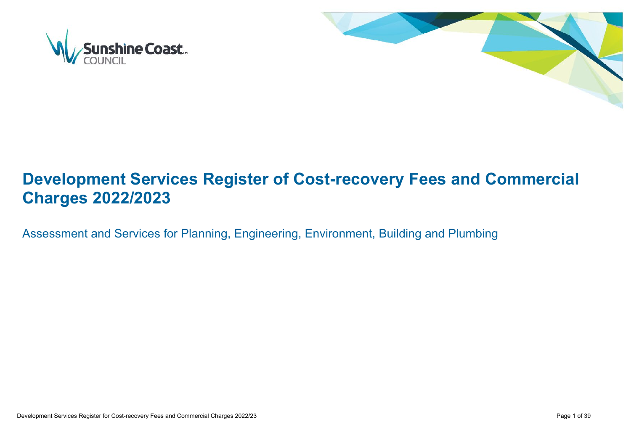



# **Development Services Register of Cost-recovery Fees and Commercial Charges 2022/2023**

Assessment and Services for Planning, Engineering, Environment, Building and Plumbing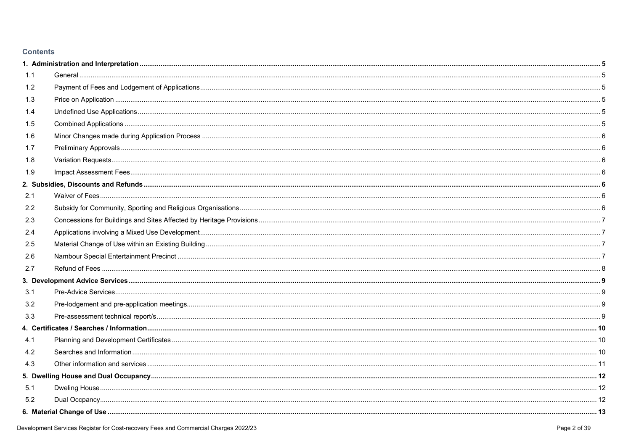## **Contents**

| 1.1 |  |
|-----|--|
| 1.2 |  |
| 1.3 |  |
| 1.4 |  |
| 1.5 |  |
| 1.6 |  |
| 1.7 |  |
| 1.8 |  |
| 1.9 |  |
|     |  |
| 2.1 |  |
| 2.2 |  |
| 2.3 |  |
| 2.4 |  |
| 2.5 |  |
| 2.6 |  |
| 2.7 |  |
|     |  |
| 3.1 |  |
| 3.2 |  |
| 3.3 |  |
|     |  |
| 4.1 |  |
| 4.2 |  |
| 4.3 |  |
|     |  |
| 5.1 |  |
| 5.2 |  |
|     |  |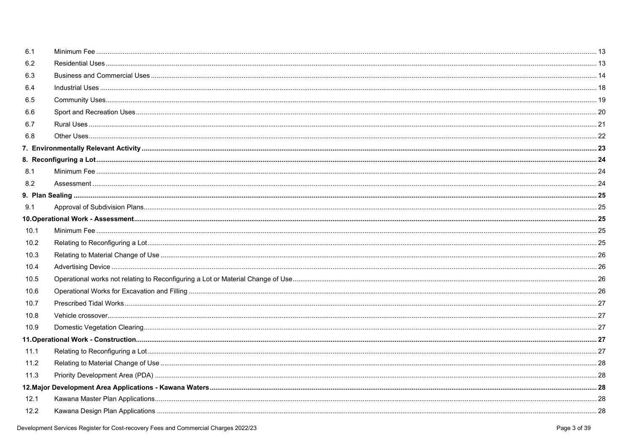| 6.1  |  |
|------|--|
| 6.2  |  |
| 6.3  |  |
| 6.4  |  |
| 6.5  |  |
| 6.6  |  |
| 6.7  |  |
| 6.8  |  |
|      |  |
|      |  |
| 8.1  |  |
| 8.2  |  |
|      |  |
| 9.1  |  |
|      |  |
| 10.1 |  |
| 10.2 |  |
| 10.3 |  |
| 10.4 |  |
| 10.5 |  |
| 10.6 |  |
| 10.7 |  |
| 10.8 |  |
| 10.9 |  |
|      |  |
| 11.1 |  |
| 11.2 |  |
| 11.3 |  |
|      |  |
| 12.1 |  |
| 12.2 |  |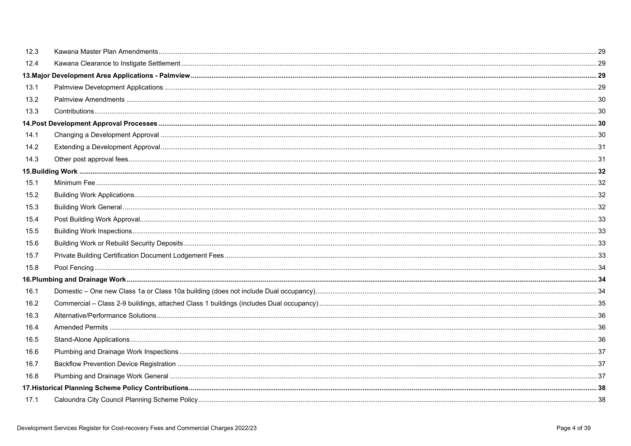| 12.3 |  |
|------|--|
| 12.4 |  |
|      |  |
| 13.1 |  |
| 13.2 |  |
| 13.3 |  |
|      |  |
| 14.1 |  |
| 14.2 |  |
| 14.3 |  |
|      |  |
| 15.1 |  |
| 15.2 |  |
| 15.3 |  |
| 15.4 |  |
| 15.5 |  |
| 15.6 |  |
| 15.7 |  |
| 15.8 |  |
|      |  |
| 16.1 |  |
| 16.2 |  |
| 16.3 |  |
| 16.4 |  |
| 16.5 |  |
| 16.6 |  |
| 16.7 |  |
| 16.8 |  |
|      |  |
| 17.1 |  |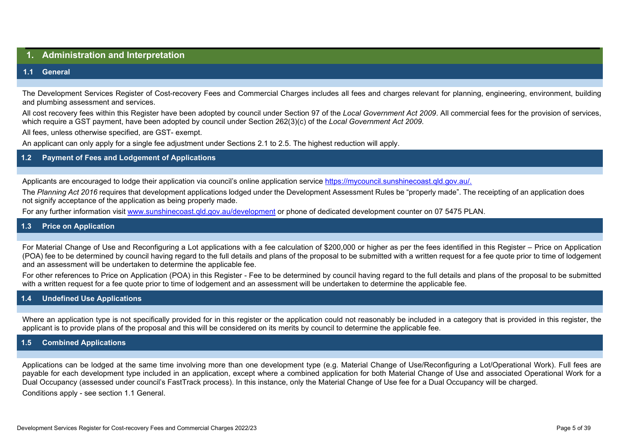# <span id="page-4-0"></span>**1. Administration and Interpretation**

#### <span id="page-4-1"></span>**1.1 General**

The Development Services Register of Cost-recovery Fees and Commercial Charges includes all fees and charges relevant for planning, engineering, environment, building and plumbing assessment and services.

All cost recovery fees within this Register have been adopted by council under Section 97 of the *Local Government Act 2009*. All commercial fees for the provision of services, which require a GST payment, have been adopted by council under Section 262(3)(c) of the *Local Government Act 2009*.

All fees, unless otherwise specified, are GST- exempt.

An applicant can only apply for a single fee adjustment under Sections 2.1 to 2.5. The highest reduction will apply.

# <span id="page-4-2"></span>**1.2 Payment of Fees and Lodgement of Applications**

Applicants are encouraged to lodge their application via council's online application service https://mycouncil.sunshinecoast.gld.gov.au/.

The *Planning Act 2016* requires that development applications lodged under the Development Assessment Rules be "properly made". The receipting of an application does not signify acceptance of the application as being properly made.

For any further information visit [www.sunshinecoast.qld.gov.au/development](http://www.sunshinecoast.qld.gov.au/development) or phone of dedicated development counter on 07 5475 PLAN.

# <span id="page-4-3"></span>**1.3 Price on Application**

For Material Change of Use and Reconfiguring a Lot applications with a fee calculation of \$200,000 or higher as per the fees identified in this Register – Price on Application (POA) fee to be determined by council having regard to the full details and plans of the proposal to be submitted with a written request for a fee quote prior to time of lodgement and an assessment will be undertaken to determine the applicable fee.

For other references to Price on Application (POA) in this Register - Fee to be determined by council having regard to the full details and plans of the proposal to be submitted with a written request for a fee quote prior to time of lodgement and an assessment will be undertaken to determine the applicable fee.

#### <span id="page-4-4"></span>**1.4 Undefined Use Applications**

Where an application type is not specifically provided for in this register or the application could not reasonably be included in a category that is provided in this register, the applicant is to provide plans of the proposal and this will be considered on its merits by council to determine the applicable fee.

#### <span id="page-4-5"></span>**1.5 Combined Applications**

Applications can be lodged at the same time involving more than one development type (e.g. Material Change of Use/Reconfiguring a Lot/Operational Work). Full fees are payable for each development type included in an application, except where a combined application for both Material Change of Use and associated Operational Work for a Dual Occupancy (assessed under council's FastTrack process). In this instance, only the Material Change of Use fee for a Dual Occupancy will be charged. Conditions apply - see section 1.1 General.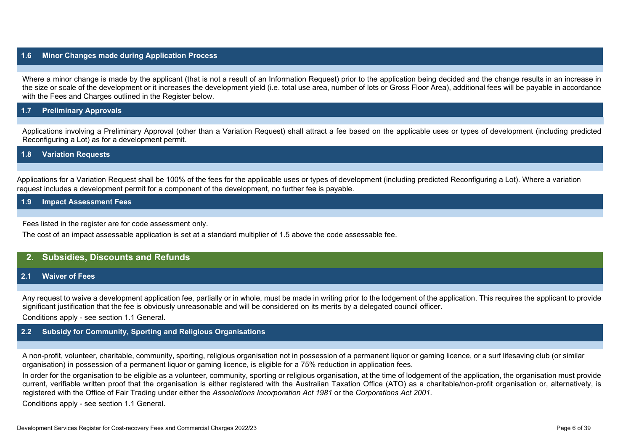## <span id="page-5-0"></span>**1.6 Minor Changes made during Application Process**

Where a minor change is made by the applicant (that is not a result of an Information Request) prior to the application being decided and the change results in an increase in the size or scale of the development or it increases the development yield (i.e. total use area, number of lots or Gross Floor Area), additional fees will be payable in accordance with the Fees and Charges outlined in the Register below.

#### <span id="page-5-1"></span>**1.7 Preliminary Approvals**

Applications involving a Preliminary Approval (other than a Variation Request) shall attract a fee based on the applicable uses or types of development (including predicted Reconfiguring a Lot) as for a development permit.

#### <span id="page-5-2"></span>**1.8 Variation Requests**

Applications for a Variation Request shall be 100% of the fees for the applicable uses or types of development (including predicted Reconfiguring a Lot). Where a variation request includes a development permit for a component of the development, no further fee is payable.

#### <span id="page-5-3"></span>**1.9 Impact Assessment Fees**

Fees listed in the register are for code assessment only.

The cost of an impact assessable application is set at a standard multiplier of 1.5 above the code assessable fee.

# <span id="page-5-4"></span>**2. Subsidies, Discounts and Refunds**

#### <span id="page-5-5"></span>**2.1 Waiver of Fees**

Any request to waive a development application fee, partially or in whole, must be made in writing prior to the lodgement of the application. This requires the applicant to provide significant justification that the fee is obviously unreasonable and will be considered on its merits by a delegated council officer.

Conditions apply - see section 1.1 General.

## <span id="page-5-6"></span>**2.2 Subsidy for Community, Sporting and Religious Organisations**

A non-profit, volunteer, charitable, community, sporting, religious organisation not in possession of a permanent liquor or gaming licence, or a surf lifesaving club (or similar organisation) in possession of a permanent liquor or gaming licence, is eligible for a 75% reduction in application fees.

In order for the organisation to be eligible as a volunteer, community, sporting or religious organisation, at the time of lodgement of the application, the organisation must provide current, verifiable written proof that the organisation is either registered with the Australian Taxation Office (ATO) as a charitable/non-profit organisation or, alternatively, is registered with the Office of Fair Trading under either the *Associations Incorporation Act 1981* or the *Corporations Act 2001*.

Conditions apply - see section 1.1 General.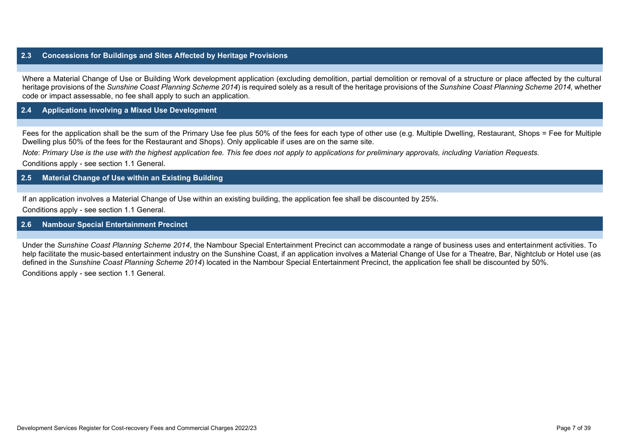# <span id="page-6-0"></span>**2.3 Concessions for Buildings and Sites Affected by Heritage Provisions**

Where a Material Change of Use or Building Work development application (excluding demolition, partial demolition or removal of a structure or place affected by the cultural heritage provisions of the *Sunshine Coast Planning Scheme 2014*) is required solely as a result of the heritage provisions of the *Sunshine Coast Planning Scheme 2014,* whether code or impact assessable, no fee shall apply to such an application.

### <span id="page-6-1"></span>**2.4 Applications involving a Mixed Use Development**

Fees for the application shall be the sum of the Primary Use fee plus 50% of the fees for each type of other use (e.g. Multiple Dwelling, Restaurant, Shops = Fee for Multiple Dwelling plus 50% of the fees for the Restaurant and Shops). Only applicable if uses are on the same site.

*Note*: *Primary Use is the use with the highest application fee. This fee does not apply to applications for preliminary approvals, including Variation Requests.* Conditions apply - see section 1.1 General.

## <span id="page-6-2"></span>**2.5 Material Change of Use within an Existing Building**

If an application involves a Material Change of Use within an existing building, the application fee shall be discounted by 25%.

Conditions apply - see section 1.1 General.

#### <span id="page-6-3"></span>**2.6 Nambour Special Entertainment Precinct**

Under the *Sunshine Coast Planning Scheme 2014*, the Nambour Special Entertainment Precinct can accommodate a range of business uses and entertainment activities. To help facilitate the music-based entertainment industry on the Sunshine Coast, if an application involves a Material Change of Use for a Theatre, Bar, Nightclub or Hotel use (as defined in the *Sunshine Coast Planning Scheme 2014*) located in the Nambour Special Entertainment Precinct, the application fee shall be discounted by 50%.

Conditions apply - see section 1.1 General.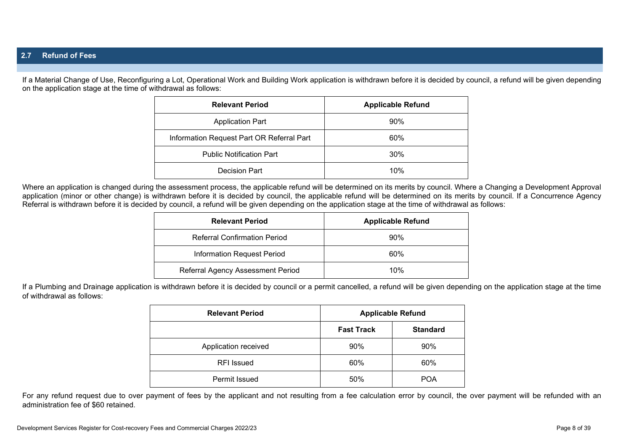<span id="page-7-0"></span>If a Material Change of Use, Reconfiguring a Lot, Operational Work and Building Work application is withdrawn before it is decided by council, a refund will be given depending on the application stage at the time of withdrawal as follows:

| <b>Relevant Period</b>                    | <b>Applicable Refund</b> |
|-------------------------------------------|--------------------------|
| <b>Application Part</b>                   | 90%                      |
| Information Request Part OR Referral Part | 60%                      |
| <b>Public Notification Part</b>           | 30%                      |
| Decision Part                             | 10%                      |

Where an application is changed during the assessment process, the applicable refund will be determined on its merits by council. Where a Changing a Development Approval application (minor or other change) is withdrawn before it is decided by council, the applicable refund will be determined on its merits by council. If a Concurrence Agency Referral is withdrawn before it is decided by council, a refund will be given depending on the application stage at the time of withdrawal as follows:

| <b>Relevant Period</b>              | <b>Applicable Refund</b> |
|-------------------------------------|--------------------------|
| <b>Referral Confirmation Period</b> | 90%                      |
| Information Request Period          | 60%                      |
| Referral Agency Assessment Period   | 10%                      |

If a Plumbing and Drainage application is withdrawn before it is decided by council or a permit cancelled, a refund will be given depending on the application stage at the time of withdrawal as follows:

| <b>Relevant Period</b> | <b>Applicable Refund</b> |                 |
|------------------------|--------------------------|-----------------|
|                        | <b>Fast Track</b>        | <b>Standard</b> |
| Application received   | 90%                      | 90%             |
| <b>RFI</b> Issued      | 60%                      | 60%             |
| Permit Issued          | 50%                      | <b>POA</b>      |

For any refund request due to over payment of fees by the applicant and not resulting from a fee calculation error by council, the over payment will be refunded with an administration fee of \$60 retained.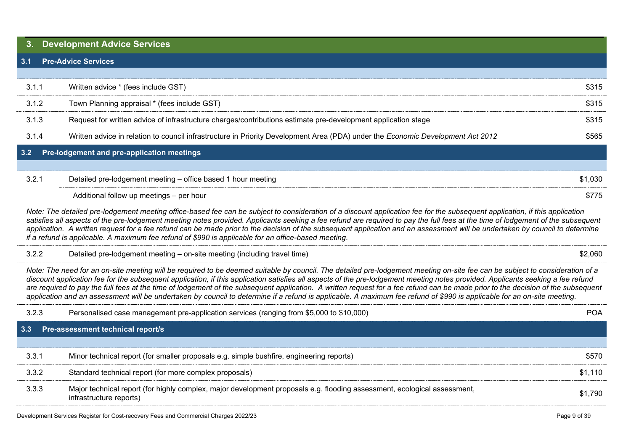# <span id="page-8-0"></span>**3. Development Advice Services**

#### <span id="page-8-1"></span>**3.1 Pre-Advice Services**

| 3.1.1 | Written advice * (fees include GST)                                                                                             | \$315 |
|-------|---------------------------------------------------------------------------------------------------------------------------------|-------|
| 3.1.2 | Town Planning appraisal * (fees include GST)                                                                                    | \$315 |
| 3.1.3 | Request for written advice of infrastructure charges/contributions estimate pre-development application stage                   | \$315 |
| 3.1.4 | Written advice in relation to council infrastructure in Priority Development Area (PDA) under the Economic Development Act 2012 | 565   |
|       | 3.2 Pre-lodgement and pre-application meetings                                                                                  |       |
|       |                                                                                                                                 |       |

## <span id="page-8-2"></span>3.2.1 Detailed pre-lodgement meeting – office based 1 hour meeting **S1,030** S1,030

Additional follow up meetings – per hour \$775

*Note: The detailed pre-lodgement meeting office-based fee can be subject to consideration of a discount application fee for the subsequent application, if this application*  satisfies all aspects of the pre-lodgement meeting notes provided. Applicants seeking a fee refund are required to pay the full fees at the time of lodgement of the subsequent application. A written request for a fee refund can be made prior to the decision of the subsequent application and an assessment will be undertaken by council to determine *if a refund is applicable. A maximum fee refund of \$990 is applicable for an office-based meeting*.

# 3.2.2 Detailed pre-lodgement meeting – on-site meeting (including travel time) \$2,060

*Note: The need for an on-site meeting will be required to be deemed suitable by council. The detailed pre-lodgement meeting on-site fee can be subject to consideration of a discount application fee for the subsequent application, if this application satisfies all aspects of the pre-lodgement meeting notes provided. Applicants seeking a fee refund*  are required to pay the full fees at the time of lodgement of the subsequent application. A written request for a fee refund can be made prior to the decision of the subsequent *application and an assessment will be undertaken by council to determine if a refund is applicable. A maximum fee refund of \$990 is applicable for an on-site meeting.*

<span id="page-8-3"></span>

| 3.2.3 | Personalised case management pre-application services (ranging from \$5,000 to \$10,000)                                                            |         |
|-------|-----------------------------------------------------------------------------------------------------------------------------------------------------|---------|
|       | 3.3 Pre-assessment technical report/s                                                                                                               |         |
|       |                                                                                                                                                     |         |
| 3.3.1 | Minor technical report (for smaller proposals e.g. simple bushfire, engineering reports)                                                            | \$570   |
| 3.3.2 | Standard technical report (for more complex proposals)                                                                                              | \$1.110 |
| 333   | Major technical report (for highly complex, major development proposals e.g. flooding assessment, ecological assessment,<br>infrastructure reports) | \$1.790 |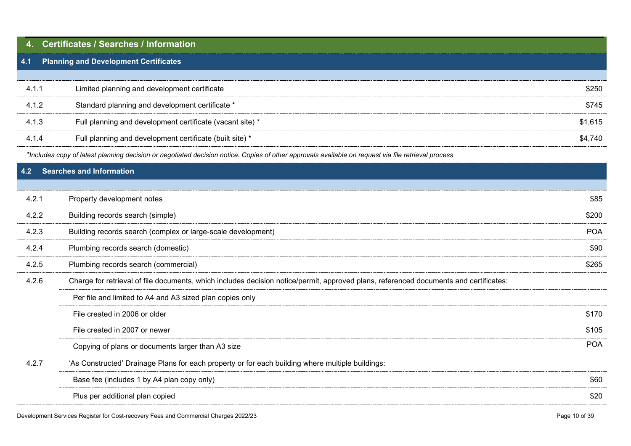<span id="page-9-2"></span><span id="page-9-1"></span><span id="page-9-0"></span>

|       | <b>Certificates / Searches / Information</b>                                                                                                        |            |
|-------|-----------------------------------------------------------------------------------------------------------------------------------------------------|------------|
| 4.1   | <b>Planning and Development Certificates</b>                                                                                                        |            |
|       |                                                                                                                                                     |            |
| 4.1.1 | Limited planning and development certificate                                                                                                        | \$250      |
| 4.1.2 | Standard planning and development certificate *                                                                                                     | \$745      |
| 4.1.3 | Full planning and development certificate (vacant site) *                                                                                           | \$1,615    |
| 4.1.4 | Full planning and development certificate (built site) *                                                                                            | \$4,740    |
|       | *Includes copy of latest planning decision or negotiated decision notice. Copies of other approvals available on request via file retrieval process |            |
| 4.2   | Searches and Information                                                                                                                            |            |
|       |                                                                                                                                                     |            |
| 4.2.1 | Property development notes                                                                                                                          | \$85       |
| 4.2.2 | Building records search (simple)                                                                                                                    | \$200      |
| 4.2.3 | Building records search (complex or large-scale development)                                                                                        | <b>POA</b> |
| 4.2.4 | Plumbing records search (domestic)                                                                                                                  | \$90       |
| 4.2.5 | Plumbing records search (commercial)                                                                                                                | \$265      |
| 4.2.6 | Charge for retrieval of file documents, which includes decision notice/permit, approved plans, referenced documents and certificates:               |            |
|       | Per file and limited to A4 and A3 sized plan copies only                                                                                            |            |
|       | File created in 2006 or older                                                                                                                       | \$170      |
|       | File created in 2007 or newer                                                                                                                       | \$105      |
|       | Copying of plans or documents larger than A3 size                                                                                                   | <b>POA</b> |
| 4.2.7 | 'As Constructed' Drainage Plans for each property or for each building where multiple buildings:                                                    |            |
|       | Base fee (includes 1 by A4 plan copy only)                                                                                                          | \$60       |
|       | Plus per additional plan copied                                                                                                                     | \$20       |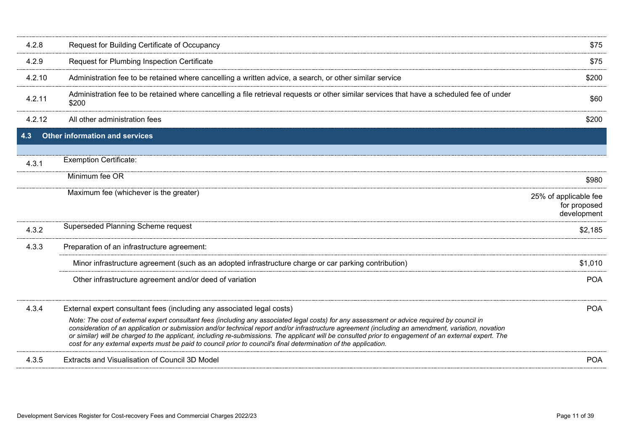<span id="page-10-0"></span>

| 4.2.8  | Request for Building Certificate of Occupancy                                                                                                                                                                                                                                                                                                                                                                                                                                                                                                                                    | \$75                                                 |
|--------|----------------------------------------------------------------------------------------------------------------------------------------------------------------------------------------------------------------------------------------------------------------------------------------------------------------------------------------------------------------------------------------------------------------------------------------------------------------------------------------------------------------------------------------------------------------------------------|------------------------------------------------------|
| 4.2.9  | Request for Plumbing Inspection Certificate                                                                                                                                                                                                                                                                                                                                                                                                                                                                                                                                      | \$75                                                 |
| 4.2.10 | Administration fee to be retained where cancelling a written advice, a search, or other similar service                                                                                                                                                                                                                                                                                                                                                                                                                                                                          | \$200                                                |
| 4.2.11 | Administration fee to be retained where cancelling a file retrieval requests or other similar services that have a scheduled fee of under<br>\$200                                                                                                                                                                                                                                                                                                                                                                                                                               | \$60                                                 |
| 4.2.12 | All other administration fees                                                                                                                                                                                                                                                                                                                                                                                                                                                                                                                                                    | \$200                                                |
| 4.3    | <b>Other information and services</b>                                                                                                                                                                                                                                                                                                                                                                                                                                                                                                                                            |                                                      |
| 4.3.1  | <b>Exemption Certificate:</b>                                                                                                                                                                                                                                                                                                                                                                                                                                                                                                                                                    |                                                      |
|        | Minimum fee OR                                                                                                                                                                                                                                                                                                                                                                                                                                                                                                                                                                   | \$980                                                |
|        | Maximum fee (whichever is the greater)                                                                                                                                                                                                                                                                                                                                                                                                                                                                                                                                           | 25% of applicable fee<br>for proposed<br>development |
| 4.3.2  | Superseded Planning Scheme request                                                                                                                                                                                                                                                                                                                                                                                                                                                                                                                                               | \$2,185                                              |
| 4.3.3  | Preparation of an infrastructure agreement:                                                                                                                                                                                                                                                                                                                                                                                                                                                                                                                                      |                                                      |
|        | Minor infrastructure agreement (such as an adopted infrastructure charge or car parking contribution)                                                                                                                                                                                                                                                                                                                                                                                                                                                                            | \$1,010                                              |
|        | Other infrastructure agreement and/or deed of variation                                                                                                                                                                                                                                                                                                                                                                                                                                                                                                                          | <b>POA</b>                                           |
| 4.3.4  | External expert consultant fees (including any associated legal costs)                                                                                                                                                                                                                                                                                                                                                                                                                                                                                                           | <b>POA</b>                                           |
|        | Note: The cost of external expert consultant fees (including any associated legal costs) for any assessment or advice required by council in<br>consideration of an application or submission and/or technical report and/or infrastructure agreement (including an amendment, variation, novation<br>or similar) will be charged to the applicant, including re-submissions. The applicant will be consulted prior to engagement of an external expert. The<br>cost for any external experts must be paid to council prior to council's final determination of the application. |                                                      |
| 4.3.5  | Extracts and Visualisation of Council 3D Model                                                                                                                                                                                                                                                                                                                                                                                                                                                                                                                                   | <b>POA</b>                                           |
|        |                                                                                                                                                                                                                                                                                                                                                                                                                                                                                                                                                                                  |                                                      |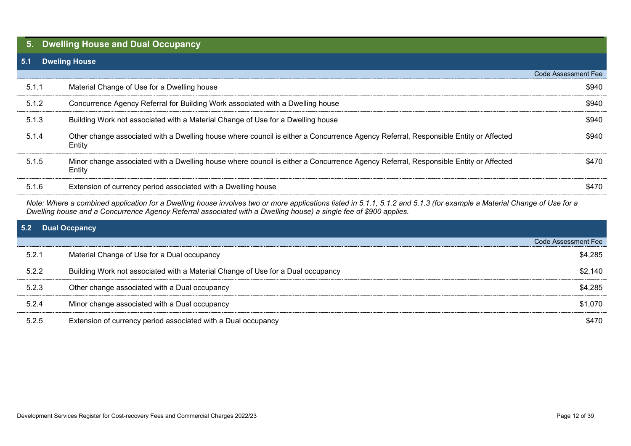# <span id="page-11-0"></span>**5. Dwelling House and Dual Occupancy**

## <span id="page-11-1"></span>**5.1 Dweling House**

|       |                                                                                                                                               | Code Assessment Fee |
|-------|-----------------------------------------------------------------------------------------------------------------------------------------------|---------------------|
| 5.1.1 | Material Change of Use for a Dwelling house                                                                                                   | \$940               |
| 5.1.2 | Concurrence Agency Referral for Building Work associated with a Dwelling house                                                                | \$940               |
| 5.1.3 | Building Work not associated with a Material Change of Use for a Dwelling house                                                               | \$940               |
| 5.1.4 | Other change associated with a Dwelling house where council is either a Concurrence Agency Referral, Responsible Entity or Affected<br>Entity | \$940.              |
| 5.1.5 | Minor change associated with a Dwelling house where council is either a Concurrence Agency Referral, Responsible Entity or Affected<br>Entity | \$470               |
| 5.1.6 | Extension of currency period associated with a Dwelling house                                                                                 | \$470               |

*Note: Where a combined application for a Dwelling house involves two or more applications listed in 5.1.1, 5.1.2 and 5.1.3 (for example a Material Change of Use for a Dwelling house and a Concurrence Agency Referral associated with a Dwelling house) a single fee of \$900 applies.*

<span id="page-11-2"></span>

|       | 5.2 Dual Occpancy                                                               |                     |  |  |
|-------|---------------------------------------------------------------------------------|---------------------|--|--|
|       |                                                                                 | Code Assessment Fee |  |  |
| 5.2.1 | Material Change of Use for a Dual occupancy                                     | \$4.285             |  |  |
| 5.2.2 | Building Work not associated with a Material Change of Use for a Dual occupancy | \$2.140             |  |  |
| 5.2.3 | Other change associated with a Dual occupancy                                   | \$4,285             |  |  |
| 5.2.4 | Minor change associated with a Dual occupancy                                   | \$1.070             |  |  |
| 5.2.5 | Extension of currency period associated with a Dual occupancy                   | 6470                |  |  |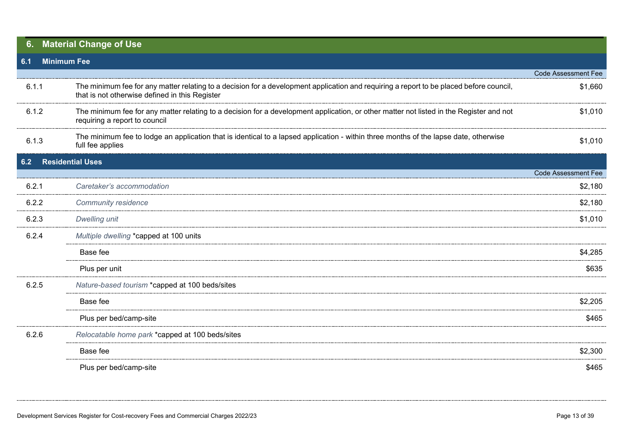<span id="page-12-2"></span><span id="page-12-1"></span><span id="page-12-0"></span>

| 6.    | <b>Material Change of Use</b> |                                                                                                                                                                                           |                            |  |
|-------|-------------------------------|-------------------------------------------------------------------------------------------------------------------------------------------------------------------------------------------|----------------------------|--|
| 6.1   | <b>Minimum Fee</b>            |                                                                                                                                                                                           |                            |  |
|       |                               |                                                                                                                                                                                           | <b>Code Assessment Fee</b> |  |
| 6.1.1 |                               | The minimum fee for any matter relating to a decision for a development application and requiring a report to be placed before council,<br>that is not otherwise defined in this Register | \$1,660                    |  |
| 6.1.2 |                               | The minimum fee for any matter relating to a decision for a development application, or other matter not listed in the Register and not<br>requiring a report to council                  | \$1,010                    |  |
| 6.1.3 |                               | The minimum fee to lodge an application that is identical to a lapsed application - within three months of the lapse date, otherwise<br>full fee applies                                  | \$1,010                    |  |
| 6.2   | <b>Residential Uses</b>       |                                                                                                                                                                                           |                            |  |
|       |                               |                                                                                                                                                                                           | Code Assessment Fee        |  |
| 6.2.1 |                               | Caretaker's accommodation                                                                                                                                                                 | \$2,180                    |  |
| 6.2.2 |                               | <b>Community residence</b>                                                                                                                                                                | \$2,180                    |  |
| 6.2.3 |                               | <b>Dwelling unit</b>                                                                                                                                                                      | \$1,010                    |  |
| 6.2.4 |                               | Multiple dwelling *capped at 100 units                                                                                                                                                    |                            |  |
|       |                               | Base fee                                                                                                                                                                                  | \$4,285                    |  |
|       |                               | Plus per unit                                                                                                                                                                             | \$635                      |  |
| 6.2.5 |                               | Nature-based tourism *capped at 100 beds/sites                                                                                                                                            |                            |  |
|       |                               | Base fee                                                                                                                                                                                  | \$2,205                    |  |
|       |                               | Plus per bed/camp-site                                                                                                                                                                    | \$465                      |  |
| 6.2.6 |                               | Relocatable home park *capped at 100 beds/sites                                                                                                                                           |                            |  |
|       |                               | Base fee                                                                                                                                                                                  | \$2,300                    |  |
|       |                               | Plus per bed/camp-site                                                                                                                                                                    | \$465                      |  |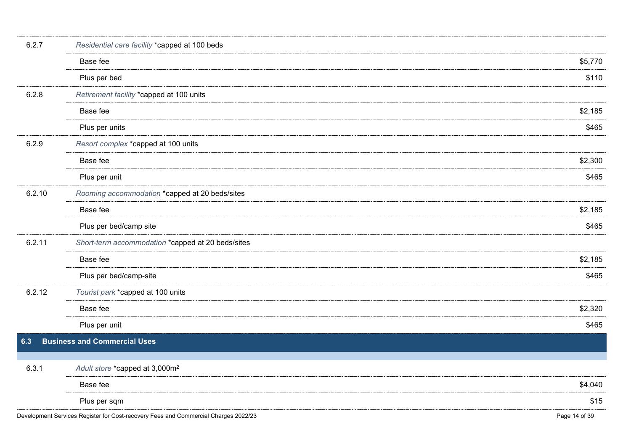<span id="page-13-0"></span>

| 6.2.7  | Residential care facility *capped at 100 beds                                       |               |
|--------|-------------------------------------------------------------------------------------|---------------|
|        | Base fee                                                                            | \$5,770       |
|        | Plus per bed                                                                        | \$110         |
| 6.2.8  | Retirement facility *capped at 100 units                                            |               |
|        | Base fee                                                                            | \$2,185       |
|        | Plus per units                                                                      | \$465         |
| 6.2.9  | Resort complex *capped at 100 units                                                 |               |
|        | Base fee                                                                            | \$2,300       |
|        | Plus per unit                                                                       | \$465         |
| 6.2.10 | Rooming accommodation *capped at 20 beds/sites                                      |               |
|        | Base fee                                                                            | \$2,185       |
|        | Plus per bed/camp site                                                              | \$465         |
| 6.2.11 | Short-term accommodation *capped at 20 beds/sites                                   |               |
|        | Base fee                                                                            | \$2,185       |
|        | Plus per bed/camp-site                                                              | \$465         |
| 6.2.12 | Tourist park *capped at 100 units                                                   |               |
|        | Base fee                                                                            | \$2,320       |
|        | Plus per unit                                                                       | \$465         |
| 6.3    | <b>Business and Commercial Uses</b>                                                 |               |
|        |                                                                                     |               |
| 6.3.1  | Adult store *capped at 3,000m <sup>2</sup>                                          |               |
|        | Base fee                                                                            | \$4,040       |
|        | Plus per sqm                                                                        | \$15          |
|        | Development Services Register for Cost-recovery Fees and Commercial Charges 2022/23 | Page 14 of 39 |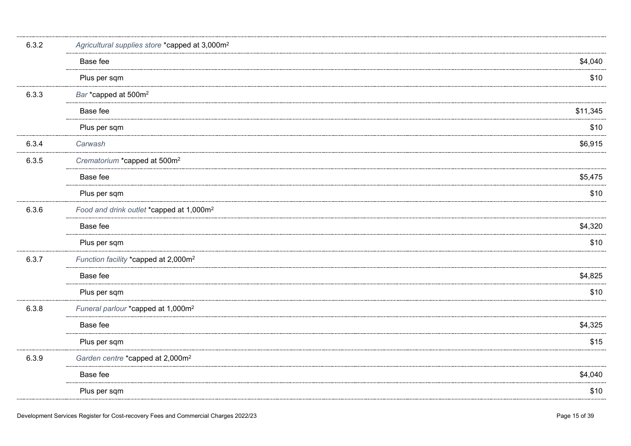| 6.3.2 | Agricultural supplies store *capped at 3,000m <sup>2</sup> |          |  |
|-------|------------------------------------------------------------|----------|--|
|       | Base fee                                                   | \$4,040  |  |
|       | Plus per sqm                                               | \$10     |  |
| 6.3.3 | Bar *capped at 500m <sup>2</sup>                           |          |  |
|       | Base fee                                                   | \$11,345 |  |
|       | Plus per sqm                                               | \$10     |  |
| 6.3.4 | Carwash                                                    | \$6,915  |  |
| 6.3.5 | Crematorium *capped at 500m <sup>2</sup>                   |          |  |
|       | Base fee                                                   | \$5,475  |  |
|       | Plus per sqm                                               | \$10     |  |
| 6.3.6 | Food and drink outlet *capped at 1,000m <sup>2</sup>       |          |  |
|       | Base fee                                                   | \$4,320  |  |
|       | Plus per sqm                                               | \$10     |  |
| 6.3.7 | Function facility *capped at 2,000m <sup>2</sup>           |          |  |
|       | Base fee                                                   | \$4,825  |  |
|       | Plus per sqm                                               | \$10     |  |
| 6.3.8 | Funeral parlour *capped at 1,000m <sup>2</sup>             |          |  |
|       | Base fee                                                   | \$4,325  |  |
|       | Plus per sqm                                               | \$15     |  |
| 6.3.9 | Garden centre *capped at 2,000m <sup>2</sup>               |          |  |
|       | Base fee                                                   | \$4,040  |  |
|       | Plus per sqm                                               | \$10     |  |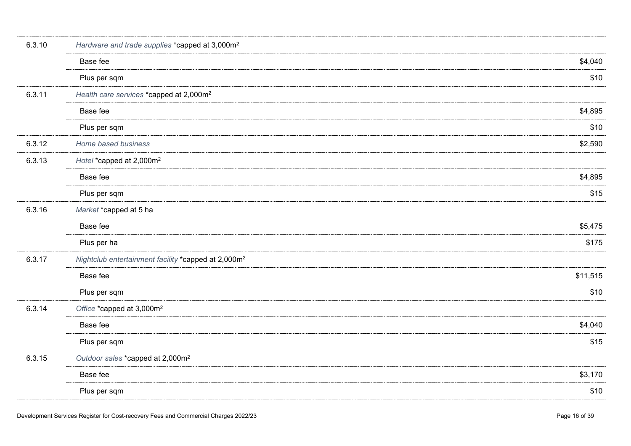| 6.3.10 | Hardware and trade supplies *capped at 3,000m <sup>2</sup>      |          |
|--------|-----------------------------------------------------------------|----------|
|        | Base fee                                                        | \$4,040  |
|        | Plus per sqm                                                    | \$10     |
| 6.3.11 | Health care services *capped at 2,000m <sup>2</sup>             |          |
|        | Base fee                                                        | \$4,895  |
|        | Plus per sqm                                                    | \$10     |
| 6.3.12 | Home based business                                             | \$2,590  |
| 6.3.13 | Hotel *capped at 2,000m <sup>2</sup>                            |          |
|        | Base fee                                                        | \$4,895  |
|        | Plus per sqm                                                    | \$15     |
| 6.3.16 | Market *capped at 5 ha                                          |          |
|        | Base fee                                                        | \$5,475  |
|        | Plus per ha                                                     | \$175    |
| 6.3.17 | Nightclub entertainment facility *capped at 2,000m <sup>2</sup> |          |
|        | Base fee                                                        | \$11,515 |
|        | Plus per sqm                                                    | \$10     |
| 6.3.14 | Office *capped at 3,000m <sup>2</sup>                           |          |
|        | Base fee                                                        | \$4,040  |
|        | Plus per sqm                                                    | \$15     |
| 6.3.15 | Outdoor sales *capped at 2,000m <sup>2</sup>                    |          |
|        | Base fee                                                        | \$3,170  |
|        | Plus per sqm                                                    | \$10     |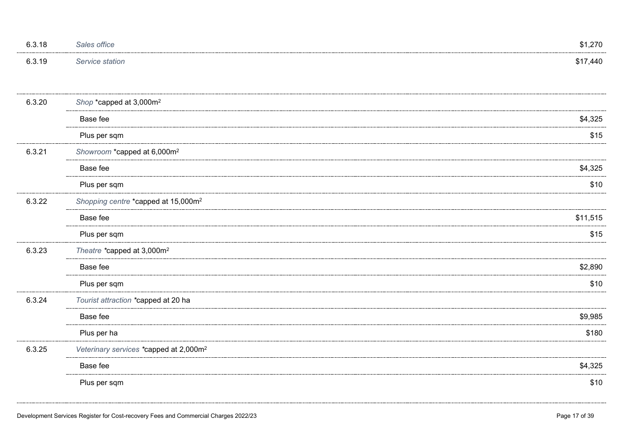| 6.3.18 | Sales office           | \$1,270 |
|--------|------------------------|---------|
| 6.3.19 | <i>Service station</i> | 17,440م |

| 6.3.20 | Shop *capped at 3,000m <sup>2</sup>                |          |
|--------|----------------------------------------------------|----------|
|        | Base fee                                           | \$4,325  |
|        | Plus per sqm                                       | \$15     |
| 6.3.21 | Showroom *capped at 6,000m <sup>2</sup>            |          |
|        | Base fee                                           | \$4,325  |
|        | Plus per sqm                                       | \$10     |
| 6.3.22 | Shopping centre *capped at 15,000m <sup>2</sup>    |          |
|        | Base fee                                           | \$11,515 |
|        | Plus per sqm                                       | \$15     |
| 6.3.23 | Theatre *capped at 3,000m <sup>2</sup>             |          |
|        | Base fee                                           | \$2,890  |
|        | Plus per sqm                                       | \$10     |
| 6.3.24 | Tourist attraction *capped at 20 ha                |          |
|        | Base fee                                           | \$9,985  |
|        | Plus per ha                                        | \$180    |
| 6.3.25 | Veterinary services *capped at 2,000m <sup>2</sup> |          |
|        | Base fee                                           | \$4,325  |
|        | Plus per sqm                                       | \$10     |
|        |                                                    |          |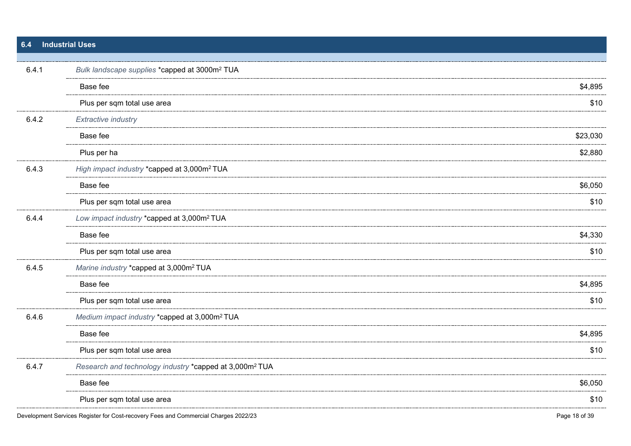<span id="page-17-0"></span>

| 6.4   | <b>Industrial Uses</b>                                              |          |  |
|-------|---------------------------------------------------------------------|----------|--|
|       |                                                                     |          |  |
| 6.4.1 | Bulk landscape supplies *capped at 3000m <sup>2</sup> TUA           |          |  |
|       | Base fee                                                            | \$4,895  |  |
|       | Plus per sqm total use area                                         | \$10     |  |
| 6.4.2 | <b>Extractive industry</b>                                          |          |  |
|       | Base fee                                                            | \$23,030 |  |
|       | Plus per ha                                                         | \$2,880  |  |
| 6.4.3 | High impact industry *capped at 3,000m <sup>2</sup> TUA             |          |  |
|       | Base fee                                                            | \$6,050  |  |
|       | Plus per sqm total use area                                         | \$10     |  |
| 6.4.4 | Low impact industry *capped at 3,000m <sup>2</sup> TUA              |          |  |
|       | Base fee                                                            | \$4,330  |  |
|       | Plus per sqm total use area                                         | \$10     |  |
| 6.4.5 | Marine industry *capped at 3,000m <sup>2</sup> TUA                  |          |  |
|       | Base fee                                                            | \$4,895  |  |
|       | Plus per sqm total use area                                         | \$10     |  |
| 6.4.6 | Medium impact industry *capped at 3,000m <sup>2</sup> TUA           |          |  |
|       | Base fee                                                            | \$4,895  |  |
|       | Plus per sqm total use area                                         | \$10     |  |
| 6.4.7 | Research and technology industry *capped at 3,000m <sup>2</sup> TUA |          |  |
|       | Base fee                                                            | \$6,050  |  |
|       | Plus per sqm total use area                                         | \$10     |  |
|       |                                                                     |          |  |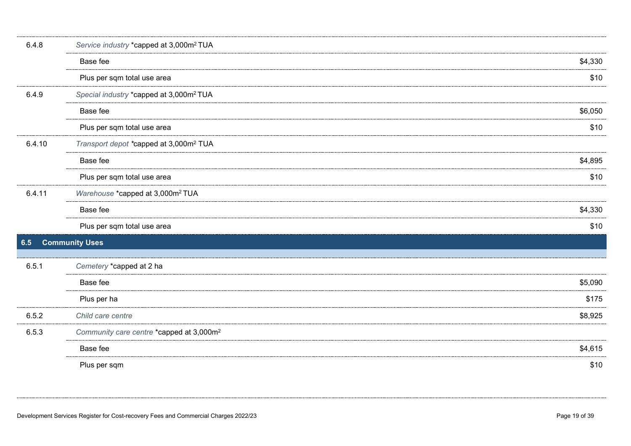<span id="page-18-0"></span>

| 6.4.8  | Service industry *capped at 3,000m <sup>2</sup> TUA  |         |  |
|--------|------------------------------------------------------|---------|--|
|        | Base fee                                             | \$4,330 |  |
|        | Plus per sqm total use area                          | \$10    |  |
| 6.4.9  | Special industry *capped at 3,000m <sup>2</sup> TUA  |         |  |
|        | Base fee                                             | \$6,050 |  |
|        | Plus per sqm total use area                          | \$10    |  |
| 6.4.10 | Transport depot *capped at 3,000m <sup>2</sup> TUA   |         |  |
|        | Base fee                                             | \$4,895 |  |
|        | Plus per sqm total use area                          | \$10    |  |
| 6.4.11 | Warehouse *capped at 3,000m <sup>2</sup> TUA         |         |  |
|        | Base fee                                             | \$4,330 |  |
|        | Plus per sqm total use area                          | \$10    |  |
| 6.5    | <b>Community Uses</b>                                |         |  |
| 6.5.1  | Cemetery *capped at 2 ha                             |         |  |
|        | Base fee                                             | \$5,090 |  |
|        | Plus per ha                                          | \$175   |  |
| 6.5.2  | Child care centre                                    | \$8,925 |  |
| 6.5.3  | Community care centre *capped at 3,000m <sup>2</sup> |         |  |
|        | Base fee                                             | \$4,615 |  |
|        | Plus per sqm                                         | \$10    |  |
|        |                                                      |         |  |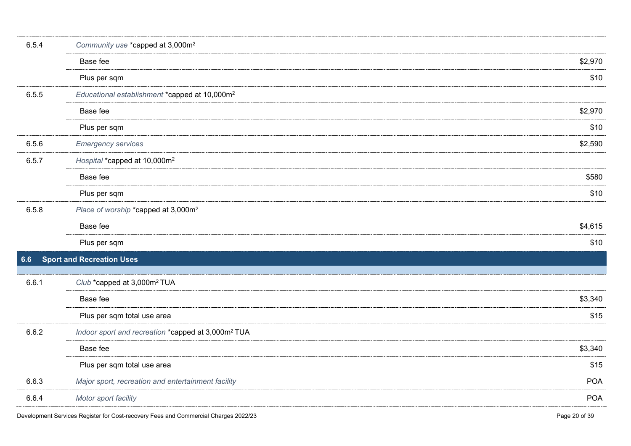<span id="page-19-0"></span>

| 6.5.4 | Community use *capped at 3,000m <sup>2</sup>                   |            |
|-------|----------------------------------------------------------------|------------|
|       | Base fee                                                       | \$2,970    |
|       | Plus per sqm                                                   | \$10       |
| 6.5.5 | Educational establishment *capped at 10,000m <sup>2</sup>      |            |
|       | Base fee                                                       | \$2,970    |
|       | Plus per sqm                                                   | \$10       |
| 6.5.6 | <b>Emergency services</b>                                      | \$2,590    |
| 6.5.7 | Hospital *capped at 10,000m <sup>2</sup>                       |            |
|       | Base fee                                                       | \$580      |
|       | Plus per sqm                                                   | \$10       |
| 6.5.8 | Place of worship *capped at 3,000m <sup>2</sup>                |            |
|       | Base fee                                                       | \$4,615    |
|       | Plus per sqm                                                   | \$10       |
| 6.6   | <b>Sport and Recreation Uses</b>                               |            |
| 6.6.1 | Club *capped at 3,000m <sup>2</sup> TUA                        |            |
|       | Base fee                                                       | \$3,340    |
|       | Plus per sqm total use area                                    | \$15       |
| 6.6.2 | Indoor sport and recreation *capped at 3,000m <sup>2</sup> TUA |            |
|       | Base fee                                                       | \$3,340    |
|       | Plus per sqm total use area                                    | \$15       |
| 6.6.3 | Major sport, recreation and entertainment facility             | <b>POA</b> |
| 6.6.4 | Motor sport facility                                           | <b>POA</b> |
|       |                                                                |            |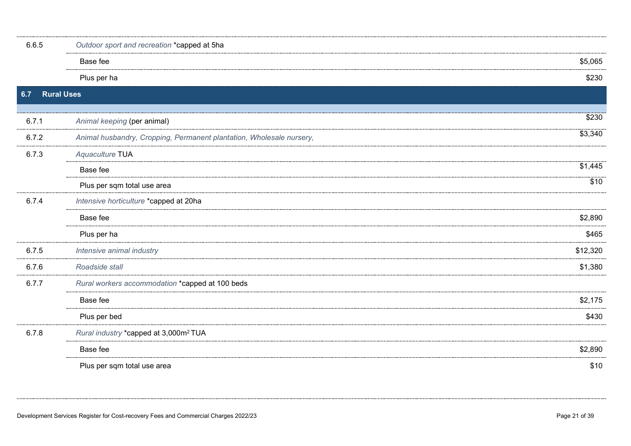<span id="page-20-0"></span>

| 6.6.5 | Outdoor sport and recreation *capped at 5ha                          |          |  |
|-------|----------------------------------------------------------------------|----------|--|
|       | Base fee                                                             | \$5,065  |  |
|       | Plus per ha                                                          | \$230    |  |
| 6.7   | <b>Rural Uses</b>                                                    |          |  |
|       |                                                                      | \$230    |  |
| 6.7.1 | Animal keeping (per animal)                                          |          |  |
| 6.7.2 | Animal husbandry, Cropping, Permanent plantation, Wholesale nursery, | \$3,340  |  |
| 6.7.3 | Aquaculture TUA                                                      |          |  |
|       | Base fee                                                             | \$1,445  |  |
|       | Plus per sqm total use area                                          | \$10     |  |
| 6.7.4 | Intensive horticulture *capped at 20ha                               |          |  |
|       | Base fee                                                             | \$2,890  |  |
|       | Plus per ha                                                          | \$465    |  |
| 6.7.5 | Intensive animal industry                                            | \$12,320 |  |
| 6.7.6 | Roadside stall                                                       | \$1,380  |  |
| 6.7.7 | Rural workers accommodation *capped at 100 beds                      |          |  |
|       | Base fee                                                             | \$2,175  |  |
|       | Plus per bed                                                         | \$430    |  |
| 6.7.8 | Rural industry *capped at 3,000m <sup>2</sup> TUA                    |          |  |
|       | Base fee                                                             | \$2,890  |  |
|       | Plus per sqm total use area                                          | \$10     |  |
|       |                                                                      |          |  |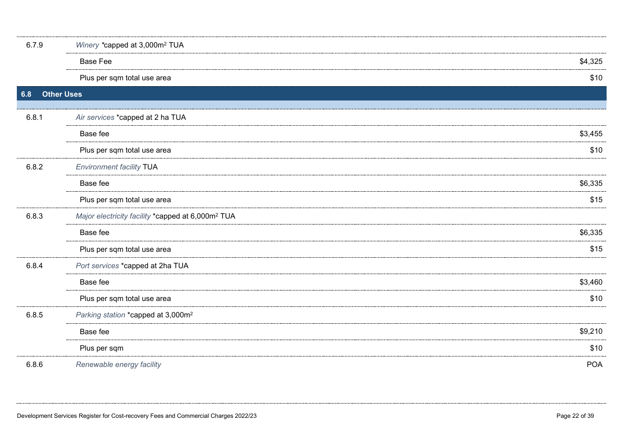<span id="page-21-0"></span>

| 6.7.9 | Winery *capped at 3,000m <sup>2</sup> TUA                     |            |  |
|-------|---------------------------------------------------------------|------------|--|
|       | <b>Base Fee</b>                                               | \$4,325    |  |
|       | Plus per sqm total use area                                   | \$10       |  |
| 6.8   | <b>Other Uses</b>                                             |            |  |
| 6.8.1 | Air services *capped at 2 ha TUA                              |            |  |
|       | Base fee                                                      | \$3,455    |  |
|       | Plus per sqm total use area                                   | \$10       |  |
| 6.8.2 | <b>Environment facility TUA</b>                               |            |  |
|       | Base fee                                                      | \$6,335    |  |
|       | Plus per sqm total use area                                   | \$15       |  |
| 6.8.3 | Major electricity facility *capped at 6,000m <sup>2</sup> TUA |            |  |
|       | Base fee                                                      | \$6,335    |  |
|       | Plus per sqm total use area                                   | \$15       |  |
| 6.8.4 | Port services *capped at 2ha TUA                              |            |  |
|       | Base fee                                                      | \$3,460    |  |
|       | Plus per sqm total use area                                   | \$10       |  |
| 6.8.5 | Parking station *capped at 3,000m <sup>2</sup>                |            |  |
|       | Base fee                                                      | \$9,210    |  |
|       | Plus per sqm                                                  | \$10       |  |
| 6.8.6 | Renewable energy facility                                     | <b>POA</b> |  |
|       |                                                               |            |  |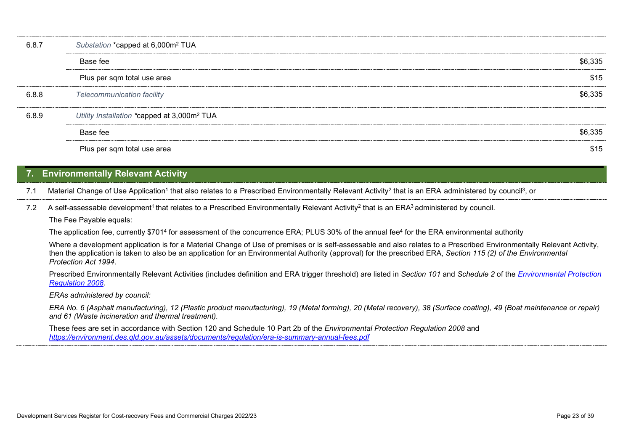| 6.8.  | Substation *capped at 6,000m <sup>2</sup> TUA           |         |
|-------|---------------------------------------------------------|---------|
|       | Base fee                                                | \$6,335 |
|       | Plus per sqm total use area                             | \$15    |
| 6.8.8 | <b>Telecommunication facility</b>                       | 66.335  |
| 689   | Utility Installation *capped at 3,000m <sup>2</sup> TUA |         |
|       | Base fee                                                | \$6,335 |
|       | Plus per sqm total use area                             | \$15    |

# <span id="page-22-0"></span>**7. Environmentally Relevant Activity**

7.1 Material Change of Use Application<sup>1</sup> that also relates to a Prescribed Environmentally Relevant Activity<sup>2</sup> that is an ERA administered by council<sup>3</sup>, or

7.2 A self-assessable development<sup>1</sup> that relates to a Prescribed Environmentally Relevant Activity<sup>2</sup> that is an ERA<sup>3</sup> administered by council. The Fee Payable equals:

The application fee, currently \$701<sup>4</sup> for assessment of the concurrence ERA; PLUS 30% of the annual fee<sup>4</sup> for the ERA environmental authority

Where a development application is for a Material Change of Use of premises or is self-assessable and also relates to a Prescribed Environmentally Relevant Activity, then the application is taken to also be an application for an Environmental Authority (approval) for the prescribed ERA, *Section 115 (2) of the Environmental Protection Act 1994*.

Prescribed Environmentally Relevant Activities (includes definition and ERA trigger threshold) are listed in *Section 101* and *Schedule 2* of the *[Environmental Protection](https://www.legislation.qld.gov.au/LEGISLTN/CURRENT/E/EnvProtR08.pdf)  [Regulation 2008](https://www.legislation.qld.gov.au/LEGISLTN/CURRENT/E/EnvProtR08.pdf)*.

*ERAs administered by council:* 

*ERA No. 6 (Asphalt manufacturing), 12 (Plastic product manufacturing), 19 (Metal forming), 20 (Metal recovery), 38 (Surface coating), 49 (Boat maintenance or repair) and 61 (Waste incineration and thermal treatment).*

These fees are set in accordance with Section 120 and Schedule 10 Part 2b of the *Environmental Protection Regulation 2008* and *<https://environment.des.qld.gov.au/assets/documents/regulation/era-is-summary-annual-fees.pdf>*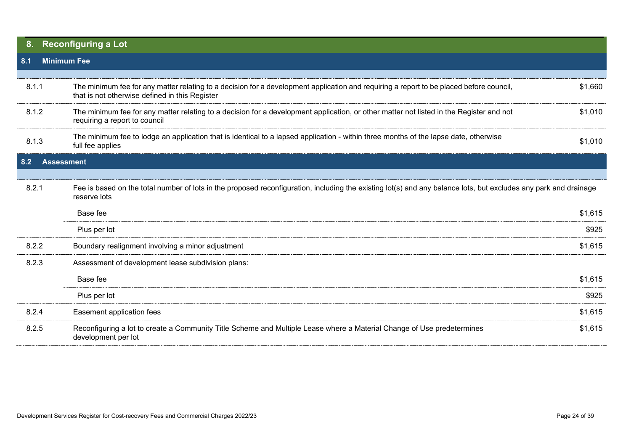<span id="page-23-2"></span><span id="page-23-1"></span><span id="page-23-0"></span>

|       | <b>Reconfiguring a Lot</b>                                                                                                                                                                |         |
|-------|-------------------------------------------------------------------------------------------------------------------------------------------------------------------------------------------|---------|
| 8.1   | <b>Minimum Fee</b>                                                                                                                                                                        |         |
|       |                                                                                                                                                                                           |         |
| 8.1.1 | The minimum fee for any matter relating to a decision for a development application and requiring a report to be placed before council,<br>that is not otherwise defined in this Register | \$1,660 |
| 8.1.2 | The minimum fee for any matter relating to a decision for a development application, or other matter not listed in the Register and not<br>requiring a report to council                  | \$1,010 |
| 8.1.3 | The minimum fee to lodge an application that is identical to a lapsed application - within three months of the lapse date, otherwise<br>full fee applies                                  | \$1,010 |
| 8.2   | <b>Assessment</b>                                                                                                                                                                         |         |
|       |                                                                                                                                                                                           |         |
| 8.2.1 | Fee is based on the total number of lots in the proposed reconfiguration, including the existing lot(s) and any balance lots, but excludes any park and drainage<br>reserve lots          |         |
|       | Base fee                                                                                                                                                                                  | \$1,615 |
|       | Plus per lot                                                                                                                                                                              | \$925   |
| 8.2.2 | Boundary realignment involving a minor adjustment                                                                                                                                         | \$1,615 |
| 8.2.3 | Assessment of development lease subdivision plans:                                                                                                                                        |         |
|       | Base fee                                                                                                                                                                                  | \$1,615 |
|       | Plus per lot                                                                                                                                                                              | \$925   |
| 8.2.4 | Easement application fees                                                                                                                                                                 | \$1,615 |
| 8.2.5 | Reconfiguring a lot to create a Community Title Scheme and Multiple Lease where a Material Change of Use predetermines<br>development per lot                                             | \$1,615 |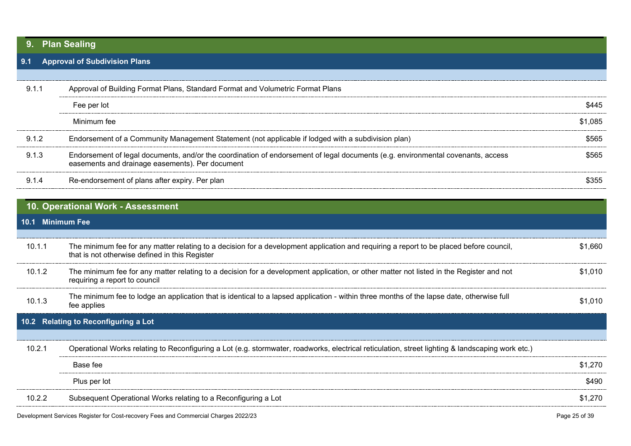# <span id="page-24-0"></span>**9. Plan Sealing**

# <span id="page-24-1"></span>**9.1 Approval of Subdivision Plans**

| 9.1.1 | Approval of Building Format Plans, Standard Format and Volumetric Format Plans                                                                                                     |         |
|-------|------------------------------------------------------------------------------------------------------------------------------------------------------------------------------------|---------|
|       | Fee per lot                                                                                                                                                                        |         |
|       | Minimum fee                                                                                                                                                                        | \$1.085 |
| 9.1.2 | Endorsement of a Community Management Statement (not applicable if lodged with a subdivision plan)                                                                                 |         |
| 9.1.3 | Endorsement of legal documents, and/or the coordination of endorsement of legal documents (e.g. environmental covenants, access<br>easements and drainage easements). Per document |         |
| 914   | Re-endorsement of plans after expiry. Per plan                                                                                                                                     |         |

<span id="page-24-4"></span><span id="page-24-3"></span><span id="page-24-2"></span>

|                  | 10. Operational Work - Assessment                                                                                                                                                         |         |
|------------------|-------------------------------------------------------------------------------------------------------------------------------------------------------------------------------------------|---------|
| 10.1 Minimum Fee |                                                                                                                                                                                           |         |
|                  |                                                                                                                                                                                           |         |
| 10.1.1           | The minimum fee for any matter relating to a decision for a development application and requiring a report to be placed before council,<br>that is not otherwise defined in this Register | \$1.660 |
| 10.1.2           | The minimum fee for any matter relating to a decision for a development application, or other matter not listed in the Register and not<br>requiring a report to council                  | \$1.010 |
| 10.1.3           | The minimum fee to lodge an application that is identical to a lapsed application - within three months of the lapse date, otherwise full<br>fee applies                                  | \$1.010 |
|                  | 10.2 Relating to Reconfiguring a Lot                                                                                                                                                      |         |
|                  |                                                                                                                                                                                           |         |
| 10.2.1           | Operational Works relating to Reconfiguring a Lot (e.g. stormwater, roadworks, electrical reticulation, street lighting & landscaping work etc.)                                          |         |
|                  | Base fee                                                                                                                                                                                  | \$1,270 |
|                  | Plus per lot                                                                                                                                                                              | \$490   |
| 10.2.2           | Subsequent Operational Works relating to a Reconfiguring a Lot                                                                                                                            | \$1,270 |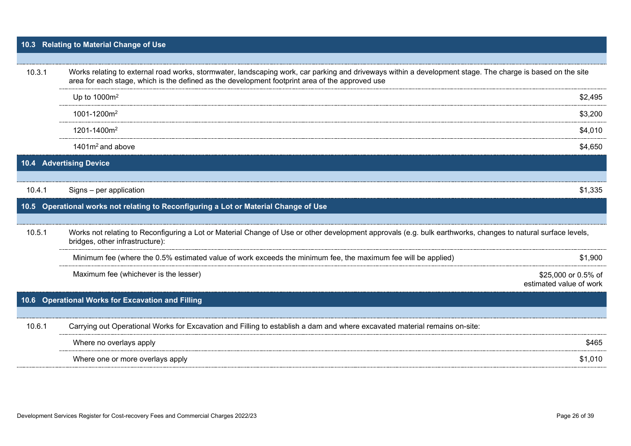# <span id="page-25-0"></span>**10.3 Relating to Material Change of Use**

<span id="page-25-3"></span><span id="page-25-2"></span><span id="page-25-1"></span>

| 10.3.1 | Works relating to external road works, stormwater, landscaping work, car parking and driveways within a development stage. The charge is based on the site<br>area for each stage, which is the defined as the development footprint area of the approved use |                                                |
|--------|---------------------------------------------------------------------------------------------------------------------------------------------------------------------------------------------------------------------------------------------------------------|------------------------------------------------|
|        | Up to $1000m^2$                                                                                                                                                                                                                                               | \$2,495                                        |
|        | 1001-1200m <sup>2</sup>                                                                                                                                                                                                                                       | \$3,200                                        |
|        | 1201-1400m <sup>2</sup>                                                                                                                                                                                                                                       | \$4,010                                        |
|        | $1401m2$ and above                                                                                                                                                                                                                                            | \$4,650                                        |
| 10.4   | <b>Advertising Device</b>                                                                                                                                                                                                                                     |                                                |
|        |                                                                                                                                                                                                                                                               |                                                |
| 10.4.1 | Signs - per application                                                                                                                                                                                                                                       | \$1,335                                        |
| 10.5_  | Operational works not relating to Reconfiguring a Lot or Material Change of Use                                                                                                                                                                               |                                                |
| 10.5.1 | Works not relating to Reconfiguring a Lot or Material Change of Use or other development approvals (e.g. bulk earthworks, changes to natural surface levels,<br>bridges, other infrastructure):                                                               |                                                |
|        | Minimum fee (where the 0.5% estimated value of work exceeds the minimum fee, the maximum fee will be applied)                                                                                                                                                 | \$1,900                                        |
|        | Maximum fee (whichever is the lesser)                                                                                                                                                                                                                         | \$25,000 or 0.5% of<br>estimated value of work |
| 10.6   | <b>Operational Works for Excavation and Filling</b>                                                                                                                                                                                                           |                                                |
|        |                                                                                                                                                                                                                                                               |                                                |
| 10.6.1 | Carrying out Operational Works for Excavation and Filling to establish a dam and where excavated material remains on-site:                                                                                                                                    |                                                |
|        | Where no overlays apply                                                                                                                                                                                                                                       | \$465                                          |
|        | Where one or more overlays apply                                                                                                                                                                                                                              | \$1,010                                        |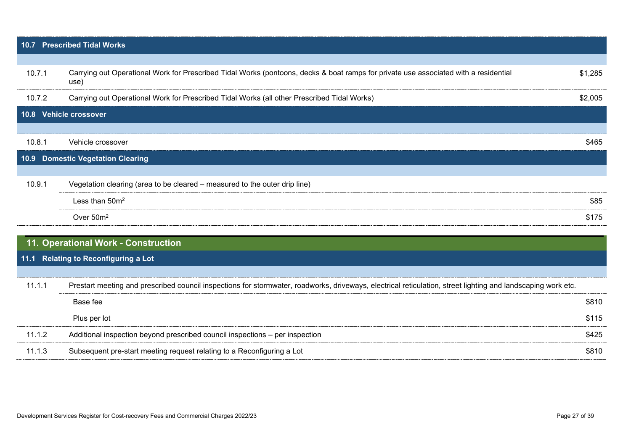<span id="page-26-4"></span><span id="page-26-3"></span><span id="page-26-2"></span><span id="page-26-1"></span><span id="page-26-0"></span>

| $\overline{10.7}$ | <b>Prescribed Tidal Works</b>                                                                                                                                |         |
|-------------------|--------------------------------------------------------------------------------------------------------------------------------------------------------------|---------|
|                   |                                                                                                                                                              |         |
| 10.7.1            | Carrying out Operational Work for Prescribed Tidal Works (pontoons, decks & boat ramps for private use associated with a residential<br>use)                 | \$1,285 |
| 10.7.2            | Carrying out Operational Work for Prescribed Tidal Works (all other Prescribed Tidal Works)                                                                  | \$2,005 |
|                   | 10.8 Vehicle crossover                                                                                                                                       |         |
|                   |                                                                                                                                                              |         |
| 10.8.1            | Vehicle crossover                                                                                                                                            | \$465   |
|                   | 10.9 Domestic Vegetation Clearing                                                                                                                            |         |
| 10.9.1            | Vegetation clearing (area to be cleared - measured to the outer drip line)                                                                                   |         |
|                   | Less than 50m <sup>2</sup>                                                                                                                                   | \$85    |
|                   | Over 50m <sup>2</sup>                                                                                                                                        | \$175   |
|                   | 11. Operational Work - Construction                                                                                                                          |         |
| 11.1              | Relating to Reconfiguring a Lot                                                                                                                              |         |
|                   |                                                                                                                                                              |         |
| 11.1.1            | Prestart meeting and prescribed council inspections for stormwater, roadworks, driveways, electrical reticulation, street lighting and landscaping work etc. |         |
|                   | Base fee                                                                                                                                                     | \$810   |
|                   | Plus per lot                                                                                                                                                 | \$115   |
| 11.1.2            | Additional inspection beyond prescribed council inspections - per inspection                                                                                 | \$425   |
| 11.1.3            | Subsequent pre-start meeting request relating to a Reconfiguring a Lot                                                                                       | \$810   |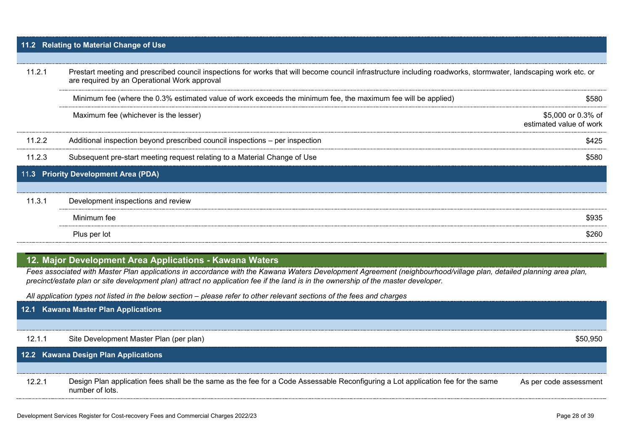# <span id="page-27-0"></span>**11.2 Relating to Material Change of Use**

| 11.2.1 | Prestart meeting and prescribed council inspections for works that will become council infrastructure including roadworks, stormwater, landscaping work etc. or<br>are required by an Operational Work approval |                                               |
|--------|-----------------------------------------------------------------------------------------------------------------------------------------------------------------------------------------------------------------|-----------------------------------------------|
|        | Minimum fee (where the 0.3% estimated value of work exceeds the minimum fee, the maximum fee will be applied)                                                                                                   | \$580                                         |
|        | Maximum fee (whichever is the lesser)                                                                                                                                                                           | \$5,000 or 0.3% of<br>estimated value of work |
| 11.2.2 | Additional inspection beyond prescribed council inspections – per inspection                                                                                                                                    | \$425                                         |
| 11.2.3 | Subsequent pre-start meeting request relating to a Material Change of Use                                                                                                                                       | \$580                                         |
|        | 11.3 Priority Development Area (PDA)                                                                                                                                                                            |                                               |
|        |                                                                                                                                                                                                                 |                                               |
| 11.3.1 | Development inspections and review                                                                                                                                                                              |                                               |
|        | Minimum fee                                                                                                                                                                                                     | \$935                                         |
|        | Plus per lot                                                                                                                                                                                                    | 6260                                          |

# <span id="page-27-2"></span><span id="page-27-1"></span>**12. Major Development Area Applications - Kawana Waters**

*Fees associated with Master Plan applications in accordance with the Kawana Waters Development Agreement (neighbourhood/village plan, detailed planning area plan, precinct/estate plan or site development plan) attract no application fee if the land is in the ownership of the master developer.* 

*All application types not listed in the below section – please refer to other relevant sections of the fees and charges*

<span id="page-27-4"></span><span id="page-27-3"></span>

|        | 12.1 Kawana Master Plan Applications                                                                                                                |                        |
|--------|-----------------------------------------------------------------------------------------------------------------------------------------------------|------------------------|
|        |                                                                                                                                                     |                        |
| 12.1.1 | Site Development Master Plan (per plan)                                                                                                             | \$50,950               |
|        | 12.2 Kawana Design Plan Applications                                                                                                                |                        |
|        |                                                                                                                                                     |                        |
| 12.2.1 | Design Plan application fees shall be the same as the fee for a Code Assessable Reconfiguring a Lot application fee for the same<br>number of lots. | As per code assessment |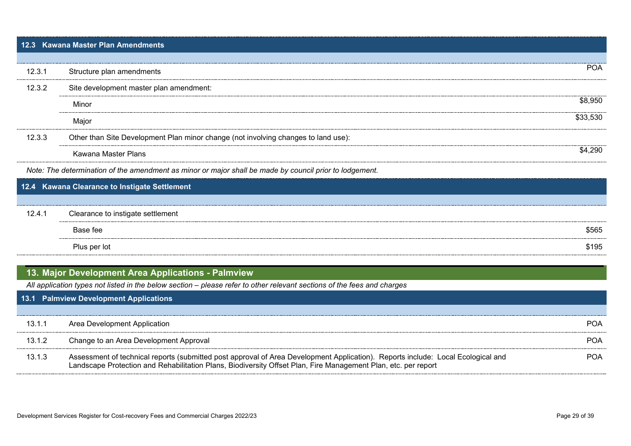<span id="page-28-0"></span>

|        | 12.3 Kawana Master Plan Amendments                                                                      |            |
|--------|---------------------------------------------------------------------------------------------------------|------------|
| 12.3.1 | Structure plan amendments                                                                               | <b>POA</b> |
| 12.3.2 | Site development master plan amendment:                                                                 |            |
|        | Minor                                                                                                   | \$8.950    |
|        | Major                                                                                                   | \$33.530   |
| 12.3.3 | Other than Site Development Plan minor change (not involving changes to land use):                      |            |
|        | Kawana Master Plans                                                                                     | \$4.290    |
|        | Note: The determination of the amendment as minor or major shall be made by council prior to lodgement. |            |
|        | 12.4 Kawana Clearance to Instigate Settlement                                                           |            |
|        |                                                                                                         |            |
| 12.4.1 | Clearance to instigate settlement                                                                       |            |

<span id="page-28-1"></span>

| Base fee     | \$565 |
|--------------|-------|
| Plus per lot | \$195 |

# <span id="page-28-2"></span>**13. Major Development Area Applications - Palmview**

*All application types not listed in the below section – please refer to other relevant sections of the fees and charges*

<span id="page-28-3"></span>

|        | 13.1 Palmview Development Applications                                                                                                                                                                                                             |  |  |
|--------|----------------------------------------------------------------------------------------------------------------------------------------------------------------------------------------------------------------------------------------------------|--|--|
|        |                                                                                                                                                                                                                                                    |  |  |
| 13.1.1 | Area Development Application                                                                                                                                                                                                                       |  |  |
| 13.1.2 | Change to an Area Development Approval                                                                                                                                                                                                             |  |  |
| 13.1.3 | Assessment of technical reports (submitted post approval of Area Development Application). Reports include: Local Ecological and<br>Landscape Protection and Rehabilitation Plans, Biodiversity Offset Plan, Fire Management Plan, etc. per report |  |  |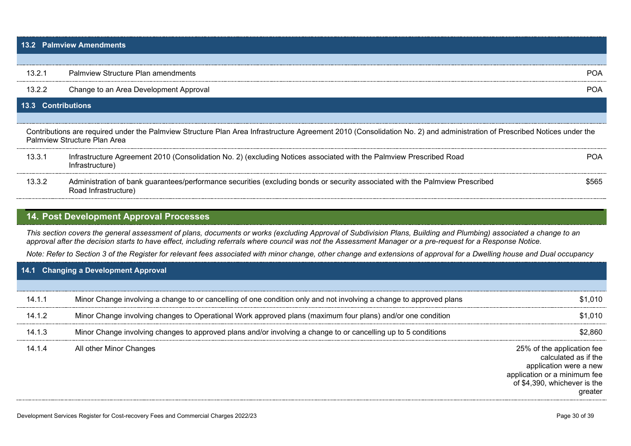<span id="page-29-1"></span><span id="page-29-0"></span>

|                           | <b>13.2 Palmview Amendments</b>                                                                                                                                                                                                                                                                                                   |            |
|---------------------------|-----------------------------------------------------------------------------------------------------------------------------------------------------------------------------------------------------------------------------------------------------------------------------------------------------------------------------------|------------|
|                           |                                                                                                                                                                                                                                                                                                                                   |            |
| 13.2.1                    | <b>Palmview Structure Plan amendments</b>                                                                                                                                                                                                                                                                                         | <b>POA</b> |
| 13.2.2                    | Change to an Area Development Approval                                                                                                                                                                                                                                                                                            | <b>POA</b> |
| <b>13.3 Contributions</b> |                                                                                                                                                                                                                                                                                                                                   |            |
|                           | Contributions are required under the Palmview Structure Plan Area Infrastructure Agreement 2010 (Consolidation No. 2) and administration of Prescribed Notices under the<br>Palmview Structure Plan Area                                                                                                                          |            |
| 13.3.1                    | Infrastructure Agreement 2010 (Consolidation No. 2) (excluding Notices associated with the Palmview Prescribed Road<br>Infrastructure)                                                                                                                                                                                            | <b>POA</b> |
| 13.3.2                    | Administration of bank guarantees/performance securities (excluding bonds or security associated with the Palmview Prescribed<br>Road Infrastructure)                                                                                                                                                                             | \$565      |
|                           | 14. Post Development Approval Processes                                                                                                                                                                                                                                                                                           |            |
|                           | This section covers the general assessment of plans, documents or works (excluding Approval of Subdivision Plans, Building and Plumbing) associated a change to an<br>approval after the decision starts to have effect, including referrals where council was not the Assessment Manager or a pre-request for a Response Notice. |            |
|                           | Note: Refer to Section 3 of the Register for relevant fees associated with minor change, other change and extensions of approval for a Dwelling house and Dual occupancy                                                                                                                                                          |            |
|                           | 14.1 Changing a Development Approval                                                                                                                                                                                                                                                                                              |            |
| 14.1.1                    | Minor Change involving a change to or cancelling of one condition only and not involving a change to approved plans                                                                                                                                                                                                               | \$1,010    |
| 14.1.2                    | Minor Change involving changes to Operational Work approved plans (maximum four plans) and/or one condition                                                                                                                                                                                                                       | \$1.010    |

<span id="page-29-3"></span><span id="page-29-2"></span>14.1.3 Minor Change involving changes to approved plans and/or involving a change to or cancelling up to 5 conditions \$2,860

14.1.4 All other Minor Changes 25% of the application fee calculated as if the application were a new application or a minimum fee of \$4,390, whichever is the greater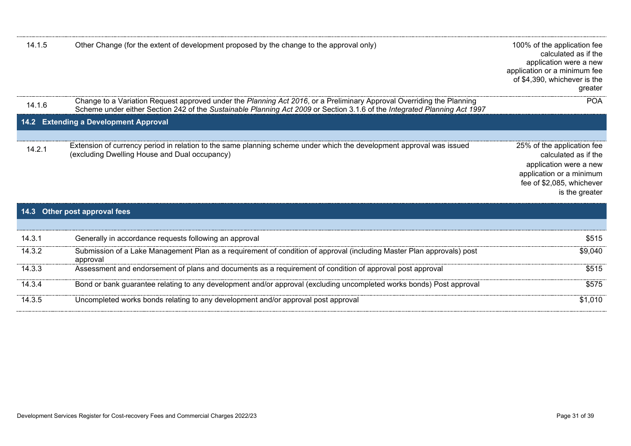<span id="page-30-0"></span>

| 14.1.5 | Other Change (for the extent of development proposed by the change to the approval only)                                                                                                                                                           | 100% of the application fee<br>calculated as if the<br>application were a new<br>application or a minimum fee<br>of \$4,390, whichever is the<br>greater |
|--------|----------------------------------------------------------------------------------------------------------------------------------------------------------------------------------------------------------------------------------------------------|----------------------------------------------------------------------------------------------------------------------------------------------------------|
| 14.1.6 | Change to a Variation Request approved under the Planning Act 2016, or a Preliminary Approval Overriding the Planning<br>Scheme under either Section 242 of the Sustainable Planning Act 2009 or Section 3.1.6 of the Integrated Planning Act 1997 | <b>POA</b>                                                                                                                                               |
|        | 14.2 Extending a Development Approval                                                                                                                                                                                                              |                                                                                                                                                          |
|        |                                                                                                                                                                                                                                                    |                                                                                                                                                          |
| 14.2.1 | Extension of currency period in relation to the same planning scheme under which the development approval was issued<br>(excluding Dwelling House and Dual occupancy)                                                                              | 25% of the application fee<br>calculated as if the<br>application were a new<br>application or a minimum<br>fee of \$2,085, whichever<br>is the greater  |
|        | 14.3 Other post approval fees                                                                                                                                                                                                                      |                                                                                                                                                          |

<span id="page-30-1"></span>

| 14.3.1 | Generally in accordance requests following an approval                                                                            | \$515   |
|--------|-----------------------------------------------------------------------------------------------------------------------------------|---------|
| 14.3.2 | Submission of a Lake Management Plan as a requirement of condition of approval (including Master Plan approvals) post<br>approval | \$9,040 |
| 14.3.3 | Assessment and endorsement of plans and documents as a requirement of condition of approval post approval                         | \$515   |
| 14.3.4 | Bond or bank guarantee relating to any development and/or approval (excluding uncompleted works bonds) Post approval              | \$575   |
| 14.3.5 | Uncompleted works bonds relating to any development and/or approval post approval                                                 | \$1,010 |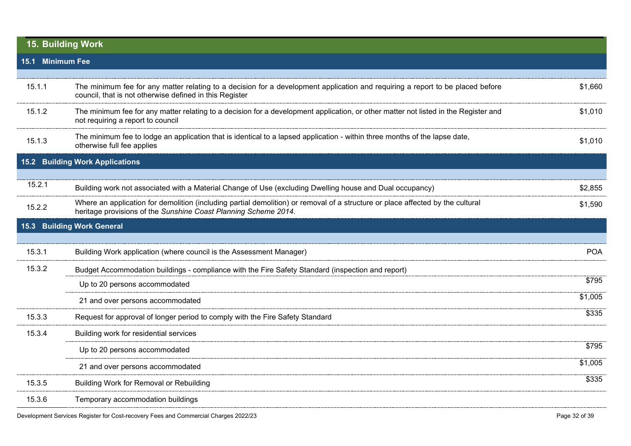<span id="page-31-3"></span><span id="page-31-2"></span><span id="page-31-1"></span><span id="page-31-0"></span>

|                                                                                                                                                                                                             | 15. Building Work                                                                                                                                                                         |            |
|-------------------------------------------------------------------------------------------------------------------------------------------------------------------------------------------------------------|-------------------------------------------------------------------------------------------------------------------------------------------------------------------------------------------|------------|
| 15.1 Minimum Fee                                                                                                                                                                                            |                                                                                                                                                                                           |            |
|                                                                                                                                                                                                             |                                                                                                                                                                                           |            |
| 15.1.1                                                                                                                                                                                                      | The minimum fee for any matter relating to a decision for a development application and requiring a report to be placed before<br>council, that is not otherwise defined in this Register | \$1,660    |
| 15.1.2                                                                                                                                                                                                      | The minimum fee for any matter relating to a decision for a development application, or other matter not listed in the Register and<br>not requiring a report to council                  |            |
| 15.1.3                                                                                                                                                                                                      | The minimum fee to lodge an application that is identical to a lapsed application - within three months of the lapse date,<br>otherwise full fee applies                                  |            |
| 15.2                                                                                                                                                                                                        | <b>Building Work Applications</b>                                                                                                                                                         |            |
|                                                                                                                                                                                                             |                                                                                                                                                                                           |            |
| 15.2.1                                                                                                                                                                                                      | Building work not associated with a Material Change of Use (excluding Dwelling house and Dual occupancy)                                                                                  | \$2,855    |
| Where an application for demolition (including partial demolition) or removal of a structure or place affected by the cultural<br>15.2.2<br>heritage provisions of the Sunshine Coast Planning Scheme 2014. |                                                                                                                                                                                           | \$1,590    |
| 15.3                                                                                                                                                                                                        | <b>Building Work General</b>                                                                                                                                                              |            |
|                                                                                                                                                                                                             |                                                                                                                                                                                           |            |
| 15.3.1                                                                                                                                                                                                      | Building Work application (where council is the Assessment Manager)                                                                                                                       | <b>POA</b> |
| 15.3.2                                                                                                                                                                                                      | Budget Accommodation buildings - compliance with the Fire Safety Standard (inspection and report)                                                                                         |            |
|                                                                                                                                                                                                             | Up to 20 persons accommodated                                                                                                                                                             | \$795      |
|                                                                                                                                                                                                             | 21 and over persons accommodated                                                                                                                                                          | \$1,005    |
| 15.3.3                                                                                                                                                                                                      | Request for approval of longer period to comply with the Fire Safety Standard                                                                                                             | \$335      |
| 15.3.4                                                                                                                                                                                                      | Building work for residential services                                                                                                                                                    |            |
|                                                                                                                                                                                                             | Up to 20 persons accommodated                                                                                                                                                             | \$795      |
|                                                                                                                                                                                                             | 21 and over persons accommodated                                                                                                                                                          | \$1,005    |
| 15.3.5                                                                                                                                                                                                      | Building Work for Removal or Rebuilding                                                                                                                                                   | \$335      |
| 15.3.6                                                                                                                                                                                                      | Temporary accommodation buildings                                                                                                                                                         |            |
|                                                                                                                                                                                                             |                                                                                                                                                                                           |            |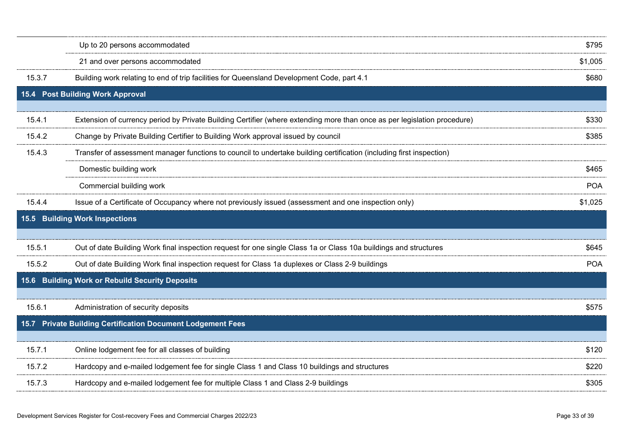<span id="page-32-3"></span><span id="page-32-2"></span><span id="page-32-1"></span><span id="page-32-0"></span>

|        | Up to 20 persons accommodated                                                                                            | \$795      |
|--------|--------------------------------------------------------------------------------------------------------------------------|------------|
|        | 21 and over persons accommodated                                                                                         | \$1,005    |
| 15.3.7 | Building work relating to end of trip facilities for Queensland Development Code, part 4.1                               | \$680      |
|        | 15.4 Post Building Work Approval                                                                                         |            |
| 15.4.1 | Extension of currency period by Private Building Certifier (where extending more than once as per legislation procedure) | \$330      |
| 15.4.2 | Change by Private Building Certifier to Building Work approval issued by council                                         | \$385      |
| 15.4.3 | Transfer of assessment manager functions to council to undertake building certification (including first inspection)     |            |
|        | Domestic building work                                                                                                   | \$465      |
|        | Commercial building work                                                                                                 | <b>POA</b> |
| 15.4.4 | Issue of a Certificate of Occupancy where not previously issued (assessment and one inspection only)                     | \$1,025    |
|        | 15.5 Building Work Inspections                                                                                           |            |
|        |                                                                                                                          |            |
| 15.5.1 | Out of date Building Work final inspection request for one single Class 1a or Class 10a buildings and structures         | \$645      |
| 15.5.2 | Out of date Building Work final inspection request for Class 1a duplexes or Class 2-9 buildings                          | <b>POA</b> |
|        | 15.6 Building Work or Rebuild Security Deposits                                                                          |            |
| 15.6.1 | Administration of security deposits                                                                                      | \$575      |
|        | 15.7 Private Building Certification Document Lodgement Fees                                                              |            |
| 15.7.1 | Online lodgement fee for all classes of building                                                                         | \$120      |
| 15.7.2 | Hardcopy and e-mailed lodgement fee for single Class 1 and Class 10 buildings and structures                             | \$220      |
| 15.7.3 | Hardcopy and e-mailed lodgement fee for multiple Class 1 and Class 2-9 buildings                                         | \$305      |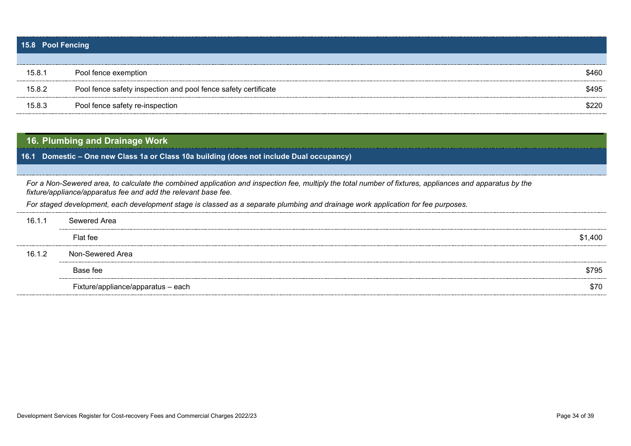<span id="page-33-0"></span>

| 15.8 Pool Fencing |                                                                |       |  |
|-------------------|----------------------------------------------------------------|-------|--|
|                   |                                                                |       |  |
| 15.8.1            | Pool fence exemption                                           | \$460 |  |
| 15.8.2            | Pool fence safety inspection and pool fence safety certificate | \$495 |  |
| 15.8.3            | Pool fence safety re-inspection                                | \$220 |  |

# <span id="page-33-1"></span>**16. Plumbing and Drainage Work**

<span id="page-33-2"></span>**16.1 Domestic – One new Class 1a or Class 10a building (does not include Dual occupancy)**

*For a Non-Sewered area, to calculate the combined application and inspection fee, multiply the total number of fixtures, appliances and apparatus by the fixture/appliance/apparatus fee and add the relevant base fee.* 

*For staged development, each development stage is classed as a separate plumbing and drainage work application for fee purposes.*

| \$1,400 |
|---------|
|         |
| \$795   |
| \$70    |
|         |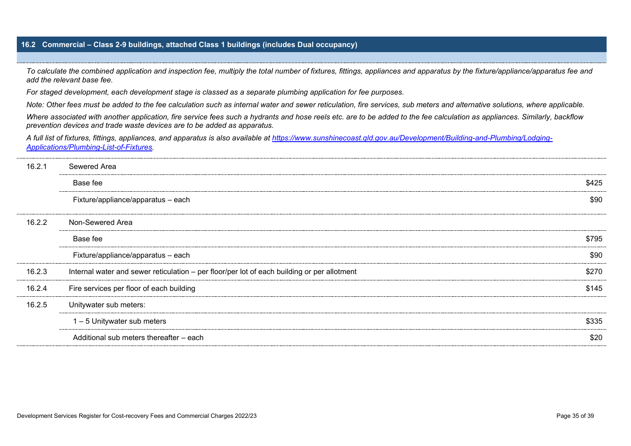## <span id="page-34-0"></span>**16.2 Commercial – Class 2-9 buildings, attached Class 1 buildings (includes Dual occupancy)**

*To calculate the combined application and inspection fee, multiply the total number of fixtures, fittings, appliances and apparatus by the fixture/appliance/apparatus fee and add the relevant base fee.* 

*For staged development, each development stage is classed as a separate plumbing application for fee purposes.*

*Note: Other fees must be added to the fee calculation such as internal water and sewer reticulation, fire services, sub meters and alternative solutions, where applicable.* 

*Where associated with another application, fire service fees such a hydrants and hose reels etc. are to be added to the fee calculation as appliances. Similarly, backflow prevention devices and trade waste devices are to be added as apparatus.* 

*A full list of fixtures, fittings, appliances, and apparatus is also available at [https://www.sunshinecoast.qld.gov.au/Development/Building-and-Plumbing/Lodging-](https://www.sunshinecoast.qld.gov.au/Development/Building-and-Plumbing/Lodging-Applications/Plumbing-List-of-Fixtures)[Applications/Plumbing-List-of-Fixtures.](https://www.sunshinecoast.qld.gov.au/Development/Building-and-Plumbing/Lodging-Applications/Plumbing-List-of-Fixtures)* 

| 16.2.1 | Sewered Area                                                                                |       |
|--------|---------------------------------------------------------------------------------------------|-------|
|        | Base fee                                                                                    | \$425 |
|        | Fixture/appliance/apparatus - each                                                          | \$90  |
| 16.2.2 | Non-Sewered Area                                                                            |       |
|        | Base fee                                                                                    | \$795 |
|        | Fixture/appliance/apparatus - each                                                          | \$90  |
| 16.2.3 | Internal water and sewer reticulation - per floor/per lot of each building or per allotment | \$270 |
| 16.2.4 | Fire services per floor of each building                                                    | \$145 |
| 16.2.5 | Unitywater sub meters:                                                                      |       |
|        | $1 - 5$ Unitywater sub meters                                                               | \$335 |
|        | Additional sub meters thereafter – each                                                     | \$20  |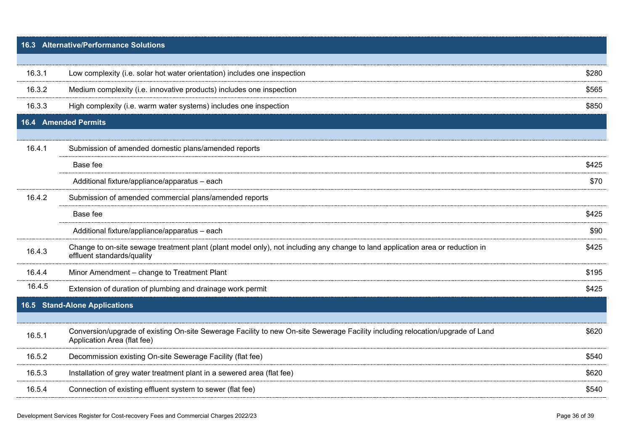<span id="page-35-2"></span><span id="page-35-1"></span><span id="page-35-0"></span>

|        | 16.3 Alternative/Performance Solutions                                                                                                                        |       |
|--------|---------------------------------------------------------------------------------------------------------------------------------------------------------------|-------|
|        |                                                                                                                                                               |       |
| 16.3.1 | Low complexity (i.e. solar hot water orientation) includes one inspection                                                                                     | \$280 |
| 16.3.2 | Medium complexity (i.e. innovative products) includes one inspection                                                                                          | \$565 |
| 16.3.3 | High complexity (i.e. warm water systems) includes one inspection                                                                                             | \$850 |
| 16.4   | <b>Amended Permits</b>                                                                                                                                        |       |
|        |                                                                                                                                                               |       |
| 16.4.1 | Submission of amended domestic plans/amended reports                                                                                                          |       |
|        | Base fee                                                                                                                                                      | \$425 |
|        | Additional fixture/appliance/apparatus - each                                                                                                                 | \$70  |
| 16.4.2 | Submission of amended commercial plans/amended reports                                                                                                        |       |
|        | Base fee                                                                                                                                                      | \$425 |
|        | Additional fixture/appliance/apparatus - each                                                                                                                 | \$90  |
| 16.4.3 | Change to on-site sewage treatment plant (plant model only), not including any change to land application area or reduction in<br>effluent standards/quality  | \$425 |
| 16.4.4 | Minor Amendment - change to Treatment Plant                                                                                                                   | \$195 |
| 16.4.5 | Extension of duration of plumbing and drainage work permit                                                                                                    | \$425 |
|        | 16.5 Stand-Alone Applications                                                                                                                                 |       |
|        |                                                                                                                                                               |       |
| 16.5.1 | Conversion/upgrade of existing On-site Sewerage Facility to new On-site Sewerage Facility including relocation/upgrade of Land<br>Application Area (flat fee) | \$620 |
| 16.5.2 | Decommission existing On-site Sewerage Facility (flat fee)                                                                                                    | \$540 |
| 16.5.3 | Installation of grey water treatment plant in a sewered area (flat fee)                                                                                       | \$620 |
| 16.5.4 | Connection of existing effluent system to sewer (flat fee)                                                                                                    | \$540 |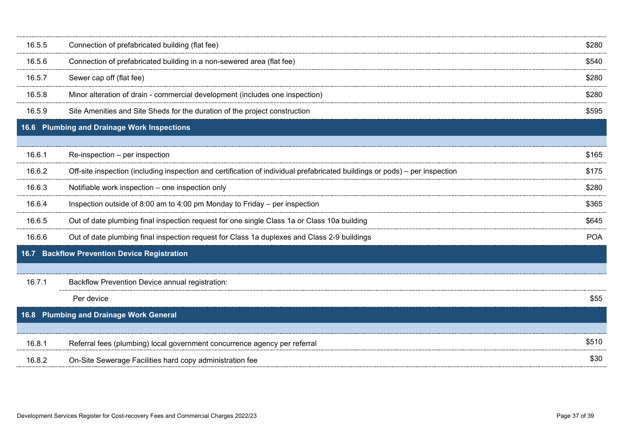<span id="page-36-2"></span><span id="page-36-1"></span><span id="page-36-0"></span>

| 16.5.5                                            | Connection of prefabricated building (flat fee)                                                                             | \$280      |
|---------------------------------------------------|-----------------------------------------------------------------------------------------------------------------------------|------------|
| 16.5.6                                            | Connection of prefabricated building in a non-sewered area (flat fee)                                                       | \$540      |
| 16.5.7                                            | Sewer cap off (flat fee)                                                                                                    | \$280      |
| 16.5.8                                            | Minor alteration of drain - commercial development (includes one inspection)                                                | \$280      |
| 16.5.9                                            | Site Amenities and Site Sheds for the duration of the project construction                                                  | \$595      |
| 16.6                                              | <b>Plumbing and Drainage Work Inspections</b>                                                                               |            |
|                                                   |                                                                                                                             |            |
| 16.6.1                                            | Re-inspection - per inspection                                                                                              | \$165      |
| 16.6.2                                            | Off-site inspection (including inspection and certification of individual prefabricated buildings or pods) – per inspection | \$175      |
| 16.6.3                                            | Notifiable work inspection - one inspection only                                                                            | \$280      |
| 16.6.4                                            | Inspection outside of 8:00 am to 4:00 pm Monday to Friday – per inspection                                                  | \$365      |
| 16.6.5                                            | Out of date plumbing final inspection request for one single Class 1a or Class 10a building                                 | \$645      |
| 16.6.6                                            | Out of date plumbing final inspection request for Class 1a duplexes and Class 2-9 buildings                                 | <b>POA</b> |
|                                                   | 16.7 Backflow Prevention Device Registration                                                                                |            |
|                                                   |                                                                                                                             |            |
| 16.7.1                                            | Backflow Prevention Device annual registration:                                                                             |            |
|                                                   | Per device                                                                                                                  | \$55       |
| <b>Plumbing and Drainage Work General</b><br>16.8 |                                                                                                                             |            |
|                                                   |                                                                                                                             |            |
| 16.8.1                                            | Referral fees (plumbing) local government concurrence agency per referral                                                   | \$510      |
| 16.8.2                                            | On-Site Sewerage Facilities hard copy administration fee                                                                    | \$30       |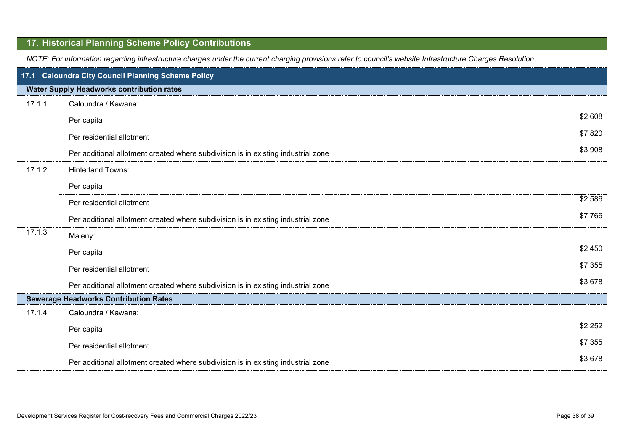# <span id="page-37-0"></span>**17. Historical Planning Scheme Policy Contributions**

*NOTE: For information regarding infrastructure charges under the current charging provisions refer to council's website Infrastructure Charges Resolution*

<span id="page-37-1"></span>

|        | 17.1 Caloundra City Council Planning Scheme Policy                                |         |
|--------|-----------------------------------------------------------------------------------|---------|
|        | <b>Water Supply Headworks contribution rates</b>                                  |         |
| 17.1.1 | Caloundra / Kawana:                                                               |         |
|        | Per capita                                                                        | \$2,608 |
|        | Per residential allotment                                                         | \$7,820 |
|        | Per additional allotment created where subdivision is in existing industrial zone | \$3,908 |
| 17.1.2 | <b>Hinterland Towns:</b>                                                          |         |
|        | Per capita                                                                        |         |
|        | Per residential allotment                                                         | \$2,586 |
|        | Per additional allotment created where subdivision is in existing industrial zone | \$7,766 |
| 17.1.3 | Maleny:                                                                           |         |
|        | Per capita                                                                        | \$2,450 |
|        | Per residential allotment                                                         | \$7,355 |
|        | Per additional allotment created where subdivision is in existing industrial zone | \$3,678 |
|        | <b>Sewerage Headworks Contribution Rates</b>                                      |         |
| 17.1.4 | Caloundra / Kawana:                                                               |         |
|        | Per capita                                                                        | \$2,252 |
|        | Per residential allotment                                                         | \$7,355 |
|        | Per additional allotment created where subdivision is in existing industrial zone | \$3,678 |